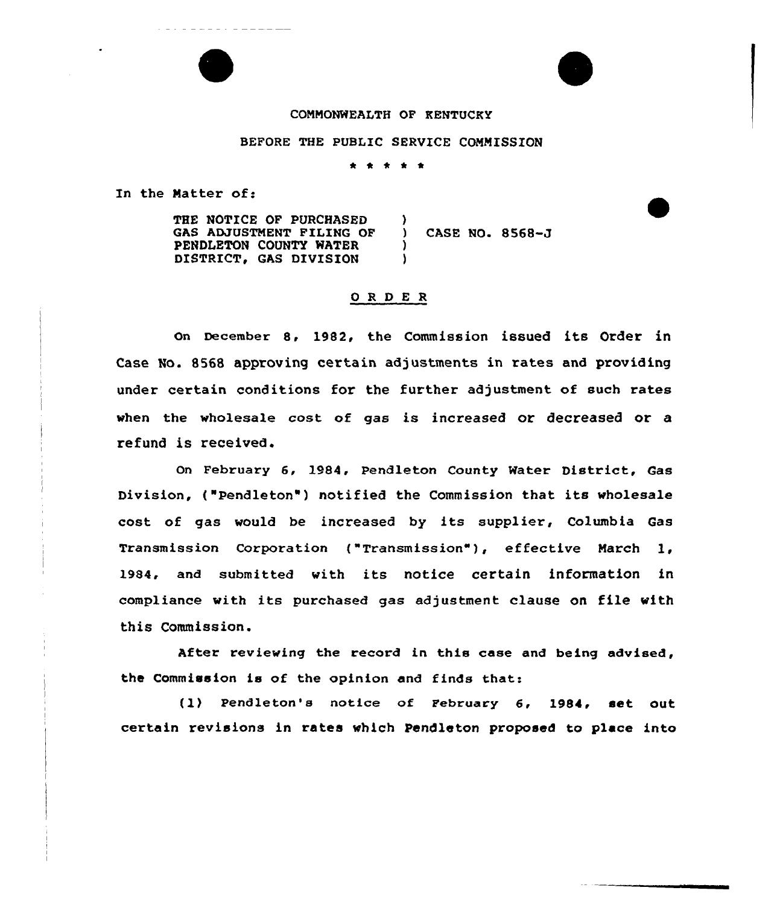## COMMONWEALTH OF KENTUCKY

## BEFORE THE PUBLIC SERVICE COMMISSION

\* \* \* \* \*

In the Matter of:

THE NOTICE OF PURCHASED GAS ADJUSTMENT FILING OF PENDLETON COUNTY WATER DISTRICT, GAS DIVISION  $\mathbf{A}$ ) CASE NO. 8568-J ) )

# ORDER

On December 8, 1982, the Commission issued its Order in Case No. 8568 approving certain adjustments in rates and providing under certain conditions for the further adjustment of such rates when the wholesale cost of gas is increased or decreased or a refund is received.

On February 6, 1984, Pendleton County Water District, Gas Division, ("Pendleton") notified the Commission that its wholesale cost of gas would be increased by its supplier, Columbia Gas Transmission Corporation ("Transmission" ), effective March 1, 1984, and submitted with its notice certain information in compliance with its purchased gas adjustment clause on file with this Commission.

After reviewing the record in this case and being advised, the Commission is of the opinion and finds that:

(1) Pendleton's notice of FebruarY 6, 1984, set out certain revisions in rates which Pendleton proposed to place into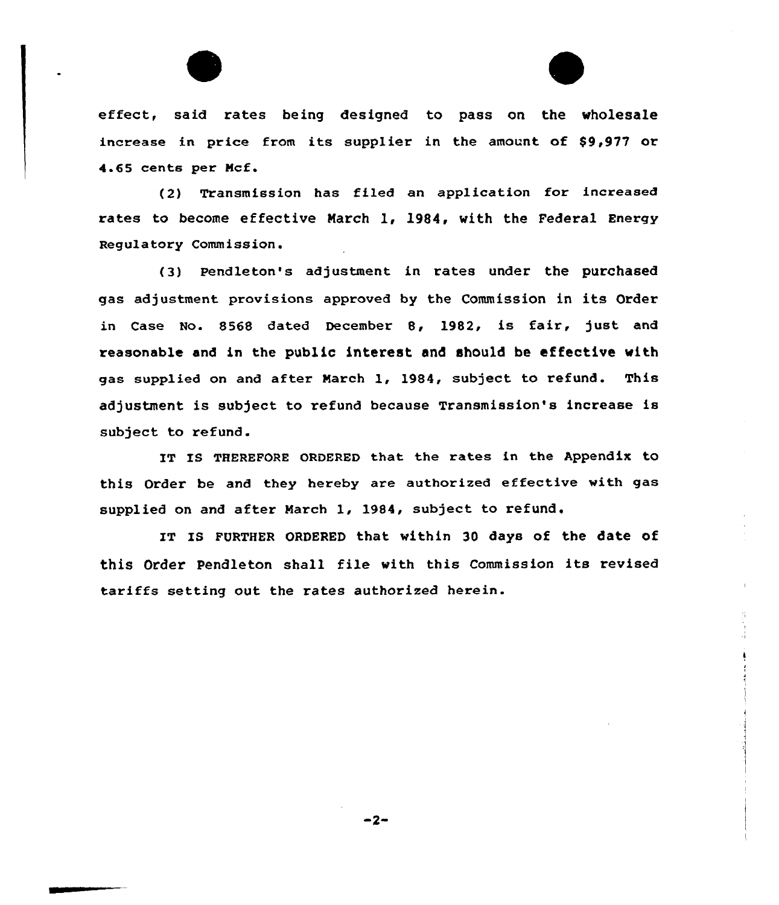effect, said rates being designed to pass on the wholesale increase in price from its supplier in the amount of \$9,977 or 4.65 cents per Ncf.

{2) Transmission has filed an application for increased rates to become effective Narch 1, 1984, with the Federal Energy Regulatory Commission.

(3) Pendleton's adjustment in rates under the purchased gas adjustment provisions approved by the Commission in its Order in Case No. 8568 dated December 8, 1982, is fair, just and reasonable and in the public interest and should be effective with gas supplied on and after Narch 1, 1984, subject to refund. This adjustment is subject to refund because Transmission's increase is subject to refund.

IT Is THEREFoRE oRDERED that the rates in the Appendix to this Order be and they hereby are authorized effective with gas supplied on and after Narch 1, 1984, subject to refund.

IT IS FURTHER ORDERED that within 30 days of the date of this Order Pendleton shall file with this Commission its revised tariffs setting out the rates authorized herein.

 $-2-$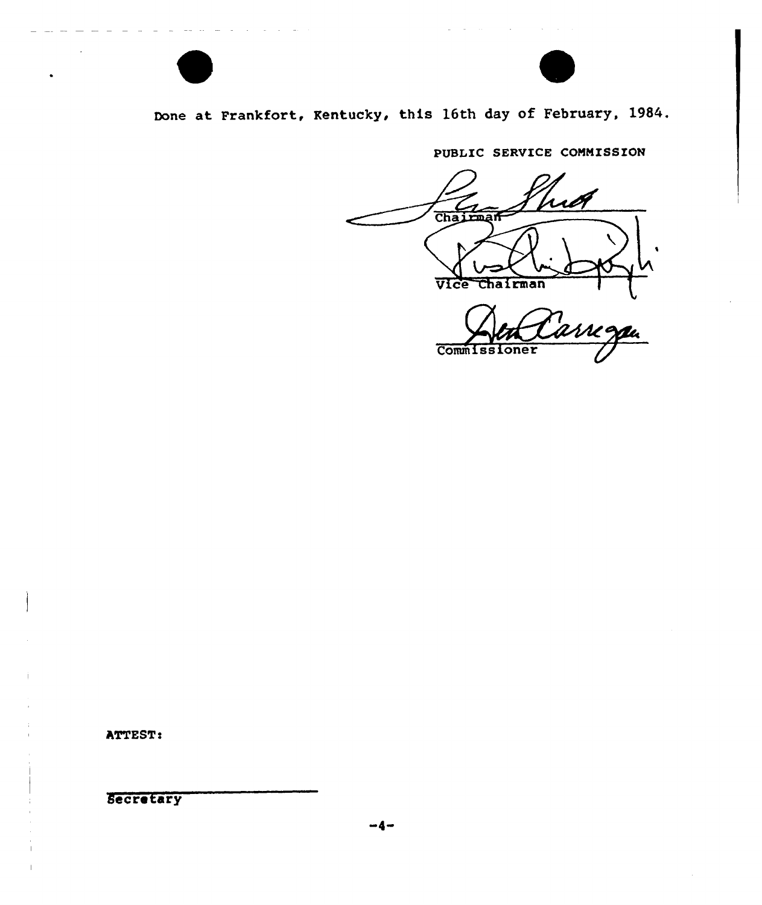

# Done at Frankfort, Kentucky, this 16th day of February, 1984.

PUBLIC SERVICE COMMISSION

Chairman Vice chairman Commissioner

ATTEST:

**Secretary**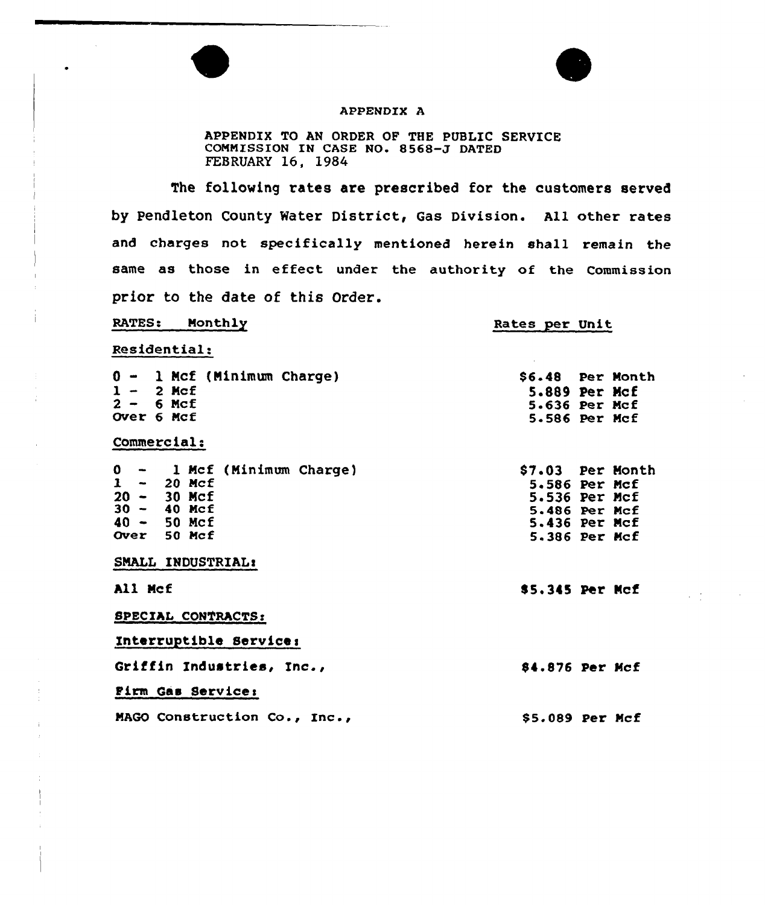

 $\mathcal{L} \in \mathcal{L}$ 

### APPENDIX A

APPENDIX TO AN ORDER OF THE PUBLIC SERVICE COMMISSION IN CASE NO. 8568-J DATED FEBRUARY 16, 1984

The following rates are prescribed for the customers served by Pendleton County Water District, Gas Division. All other rates and charges not specifically mentioned herein shall remain the same as those in effect under the authority of the Commission prior to the date of this Order.

| RATES: Monthly                                                                                                                      | <b>Rates per Unit</b>                                                                                 |
|-------------------------------------------------------------------------------------------------------------------------------------|-------------------------------------------------------------------------------------------------------|
| Residential:                                                                                                                        |                                                                                                       |
| 0 - 1 Mcf (Minimum Charge)<br>$1 - 2$ Mcf<br>$2 - 6$ Mcf<br>Over 6 Mcf                                                              | \$6.48 Per Month<br>5.889 Per Mcf<br>5.636 Per Mcf<br>5.586 Per Mcf                                   |
| Commercial:                                                                                                                         |                                                                                                       |
| $0 - 1$ Mcf (Minimum Charge)<br>$1 - 20$ Mcf<br>$20 - 30$ Mcf<br>$30 - 40$ Mcf<br>$40 - 50$ Mcf<br>Over 50 Mcf<br>SMALL INDUSTRIAL: | \$7.03 Per Month<br>5.586 Per Mcf<br>5.536 Per Mcf<br>5.486 Per Mcf<br>5.436 Per Mcf<br>5.386 Per Mcf |
| All Mcf                                                                                                                             | \$5.345 Per Mcf                                                                                       |
| SPECIAL CONTRACTS:<br>Interruptible Service:                                                                                        |                                                                                                       |
| Griffin Industries, Inc.,                                                                                                           | 84.876 Per Mcf                                                                                        |
| Firm Gas Service:                                                                                                                   |                                                                                                       |
| MAGO Construction Co., Inc.,                                                                                                        | \$5.089 Per Mcf                                                                                       |